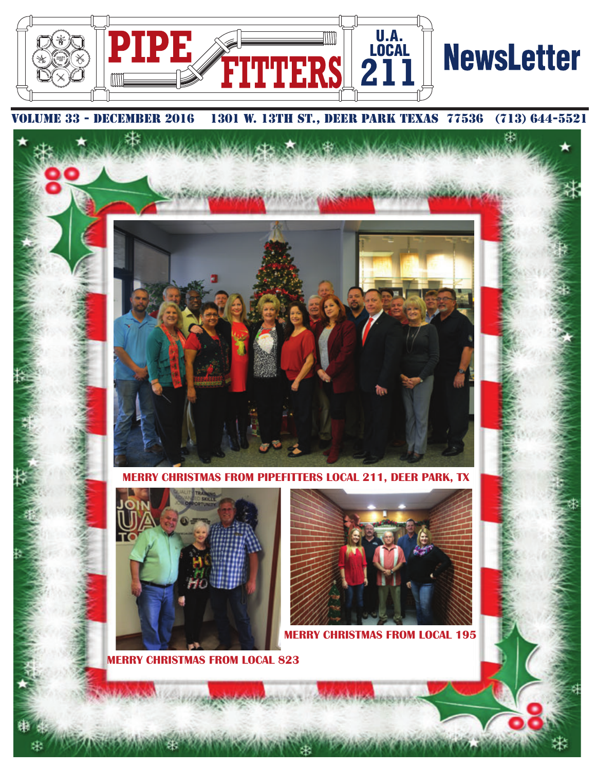

## IE 33 - DECEMBER 2016 1301 W. 13TH ST., DEER PARK TEXAS 77536 (713) 644-5521



**MERRY CHRISTMAS FROM PIPEFITTERS LOCAL 211, DEER PARK, TX**



**MERRY CHRISTMAS FROM LOCAL 823**

æ



Ф.

**S FROM LOCAL 195**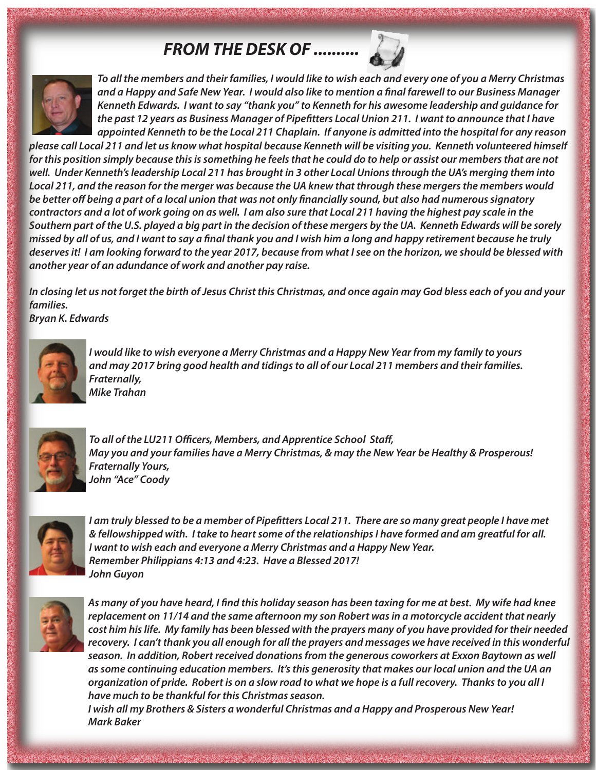## *FROM THE DESK OF ..........*



*To all the members and their families, I would like to wish each and every one of you a Merry Christmas* and a Happy and Safe New Year. I would also like to mention a final farewell to our Business Manager *Kenneth Edwards. I want to say "thank you" to Kenneth for his awesome leadership and guidance for the past 12 years as Business Manager of Pipetters Local Union 211. I want to announce that I have appointed Kenneth to be the Local 211 Chaplain. If anyone is admitted into the hospital for any reason*

*please call Local 211 and let us know what hospital because Kenneth will be visiting you. Kenneth volunteered himself for this position simply because this is something he feels that he could do to help or assist our members that are not well. Under Kenneth's leadership Local 211 has brought in 3 other Local Unions through the UA's merging them into Local 211, and the reason for the merger was because the UA knew that through these mergers the members would* be better off being a part of a local union that was not only financially sound, but also had numerous signatory *contractors and a lot of work going on as well. I am also sure that Local 211 having the highest pay scale in the Southern part of the U.S. played a big part in the decision of these mergers by the UA. Kenneth Edwards will be sorely missed by all of us, and I want to say a nal thank you and I wish him a long and happy retirement because he truly deserves it! I am looking forward to the year 2017, because from what I see on the horizon, we should be blessed with another year of an adundance of work and another pay raise.* 

*In closing let us not forget the birth of Jesus Christ this Christmas, and once again may God bless each of you and your families. Bryan K. Edwards*



*I would like to wish everyone a Merry Christmas and a Happy New Year from my family to yours and may 2017 bring good health and tidings to all of our Local 211 members and their families. Fraternally, Mike Trahan*



To all of the LU211 Officers, Members, and Apprentice School Staff, *May you and your families have a Merry Christmas, & may the New Year be Healthy & Prosperous! Fraternally Yours, John "Ace" Coody*



*I am truly blessed to be a member of Pipetters Local 211. There are so many great people I have met & fellowshipped with. I take to heart some of the relationships I have formed and am greatful for all. I want to wish each and everyone a Merry Christmas and a Happy New Year. Remember Philippians 4:13 and 4:23. Have a Blessed 2017! John Guyon*



*As many of you have heard, I nd this holiday season has been taxing for me at best. My wife had knee replacement on 11/14 and the same afternoon my son Robert was in a motorcycle accident that nearly cost him his life. My family has been blessed with the prayers many of you have provided for their needed recovery. I can't thank you all enough for all the prayers and messages we have received in this wonderful season. In addition, Robert received donations from the generous coworkers at Exxon Baytown as well as some continuing education members. It's this generosity that makes our local union and the UA an organization of pride. Robert is on a slow road to what we hope is a full recovery. Thanks to you all I have much to be thankful for this Christmas season.*

*I wish all my Brothers & Sisters a wonderful Christmas and a Happy and Prosperous New Year! Mark Baker*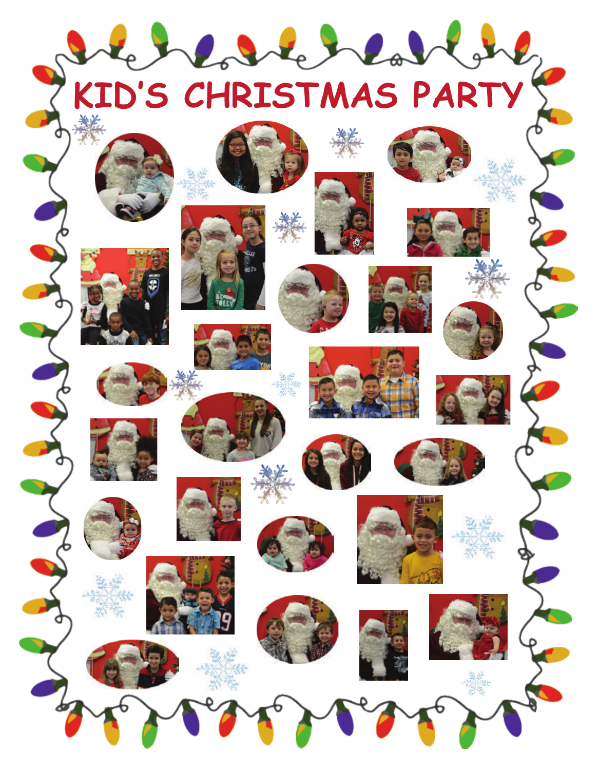